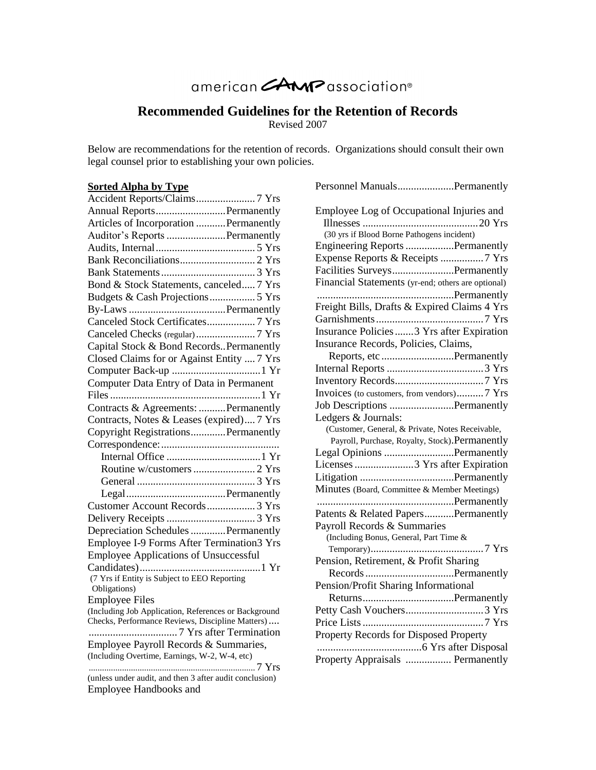## american **AMP** association®

## **Recommended Guidelines for the Retention of Records**

Revised 2007

Below are recommendations for the retention of records. Organizations should consult their own legal counsel prior to establishing your own policies.

## **Sorted Alpha by Type**

| Annual ReportsPermanently                                                                                |
|----------------------------------------------------------------------------------------------------------|
| Articles of Incorporation  Permanently                                                                   |
| Auditor's Reports Permanently                                                                            |
|                                                                                                          |
|                                                                                                          |
|                                                                                                          |
| Bond & Stock Statements, canceled 7 Yrs                                                                  |
| Budgets & Cash Projections 5 Yrs                                                                         |
|                                                                                                          |
|                                                                                                          |
|                                                                                                          |
| Capital Stock & Bond Records. Permanently                                                                |
| Closed Claims for or Against Entity  7 Yrs                                                               |
|                                                                                                          |
| Computer Data Entry of Data in Permanent                                                                 |
|                                                                                                          |
| Contracts & Agreements: Permanently                                                                      |
| Contracts, Notes & Leases (expired) 7 Yrs                                                                |
| Copyright RegistrationsPermanently                                                                       |
|                                                                                                          |
|                                                                                                          |
| Routine w/customers  2 Yrs                                                                               |
|                                                                                                          |
|                                                                                                          |
| Customer Account Records 3 Yrs                                                                           |
|                                                                                                          |
| Depreciation Schedules Permanently                                                                       |
| Employee I-9 Forms After Termination3 Yrs                                                                |
| <b>Employee Applications of Unsuccessful</b>                                                             |
|                                                                                                          |
| (7 Yrs if Entity is Subject to EEO Reporting                                                             |
| Obligations)                                                                                             |
| <b>Employee Files</b>                                                                                    |
| (Including Job Application, References or Background<br>Checks, Performance Reviews, Discipline Matters) |
|                                                                                                          |
| Employee Payroll Records & Summaries,                                                                    |
| (Including Overtime, Earnings, W-2, W-4, etc)                                                            |
|                                                                                                          |
| (unless under audit, and then 3 after audit conclusion)                                                  |
| Employee Handbooks and                                                                                   |

Personnel Manuals.....................Permanently

| Employee Log of Occupational Injuries and          |
|----------------------------------------------------|
|                                                    |
| (30 yrs if Blood Borne Pathogens incident)         |
| Engineering Reports Permanently                    |
| Expense Reports & Receipts 7 Yrs                   |
| Facilities SurveysPermanently                      |
| Financial Statements (yr-end; others are optional) |
| Permanently                                        |
| Freight Bills, Drafts & Expired Claims 4 Yrs       |
|                                                    |
| Insurance Policies  3 Yrs after Expiration         |
| Insurance Records, Policies, Claims,               |
| Reports, etc Permanently                           |
|                                                    |
|                                                    |
| Invoices (to customers, from vendors)7 Yrs         |
| Job Descriptions Permanently                       |
| Ledgers & Journals:                                |
| (Customer, General, & Private, Notes Receivable,   |
| Payroll, Purchase, Royalty, Stock). Permanently    |
| Legal Opinions Permanently                         |
|                                                    |
|                                                    |
| Minutes (Board, Committee & Member Meetings)       |
|                                                    |
| Patents & Related PapersPermanently                |
| Payroll Records & Summaries                        |
| (Including Bonus, General, Part Time &             |
|                                                    |
| Pension, Retirement, & Profit Sharing              |
|                                                    |
|                                                    |
|                                                    |
|                                                    |
|                                                    |
| Property Records for Disposed Property             |
|                                                    |
|                                                    |